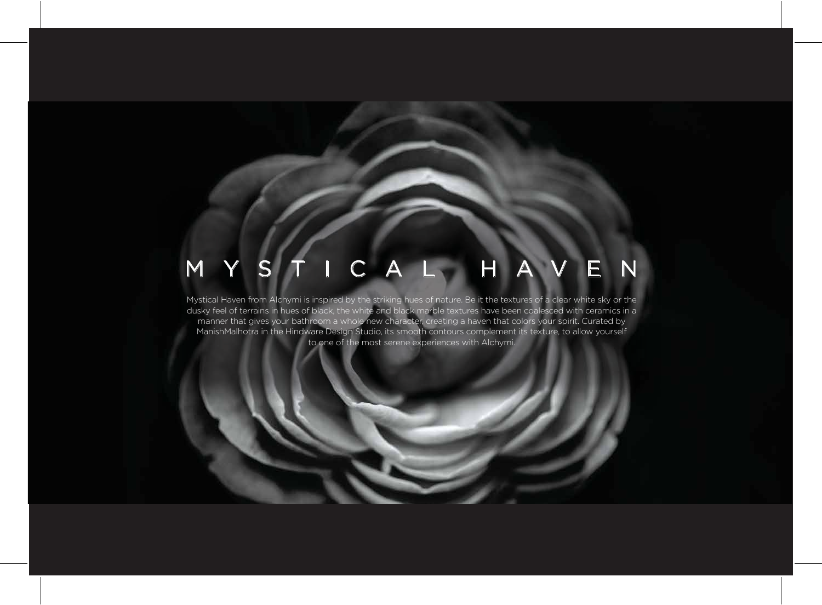## MYSTICAL HAVEN

Mystical Haven from Alchymi is inspired by the striking hues of nature. Be it the textures of a clear white sky or the dusky feel of terrains in hues of black, the white and black marble textures have been coalesced with ceramics in a manner that gives your bathroom a whole new character, creating a haven that colors your spirit. Curated by ManishMalhotra in the Hindware Design Studio, its smooth contours complement its texture, to allow yourself to one of the most serene experiences with Alchymi.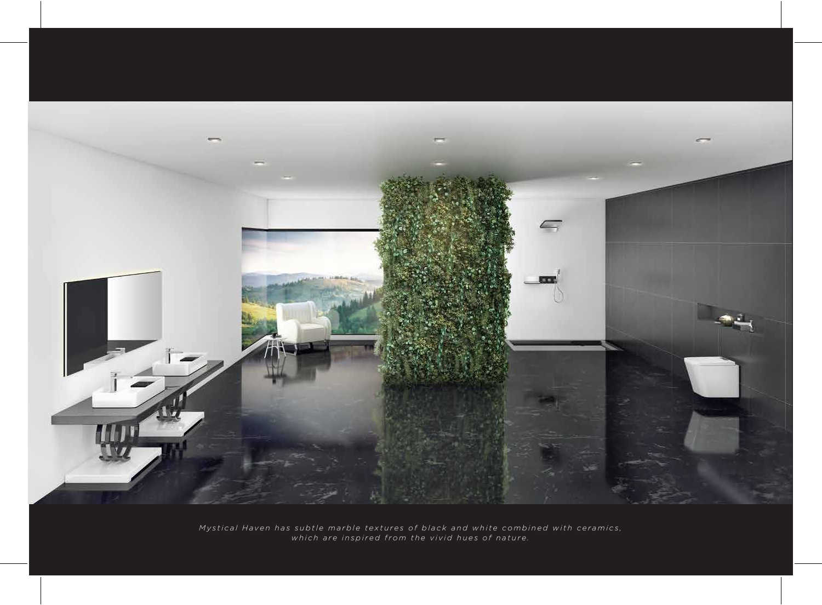

*Mystical Haven has subtle marble textures of black and white combined with ceramics, which are inspired from the vivid hues of nature.*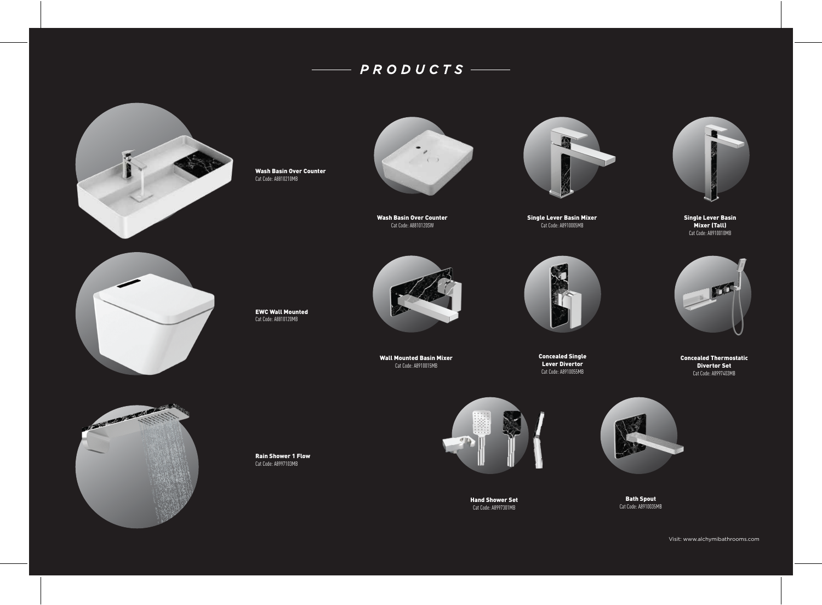## *PRODUCTS*



Wash Basin Over Counter Cat Code: A8810210MB



Wash Basin Over Counter Cat Code: A8810120SW



Single Lever Basin Mixer Cat Code: A8910005MB



Single Lever Basin Mixer (Tall) Cat Code: A8910010MB



EWC Wall Mounted Cat Code: A8810120MB



Wall Mounted Basin Mixer Cat Code: A8910015MB



Concealed Single Lever Divertor Cat Code: A8910055MB



Concealed Thermostatic Divertor Set Cat Code: A8997403MB



Rain Shower 1 Flow Cat Code: A8997103MB



Hand Shower Set Cat Code: A8997301MB



Bath Spout Cat Code: A8910035MB

Visit: www.alchymibathrooms.com